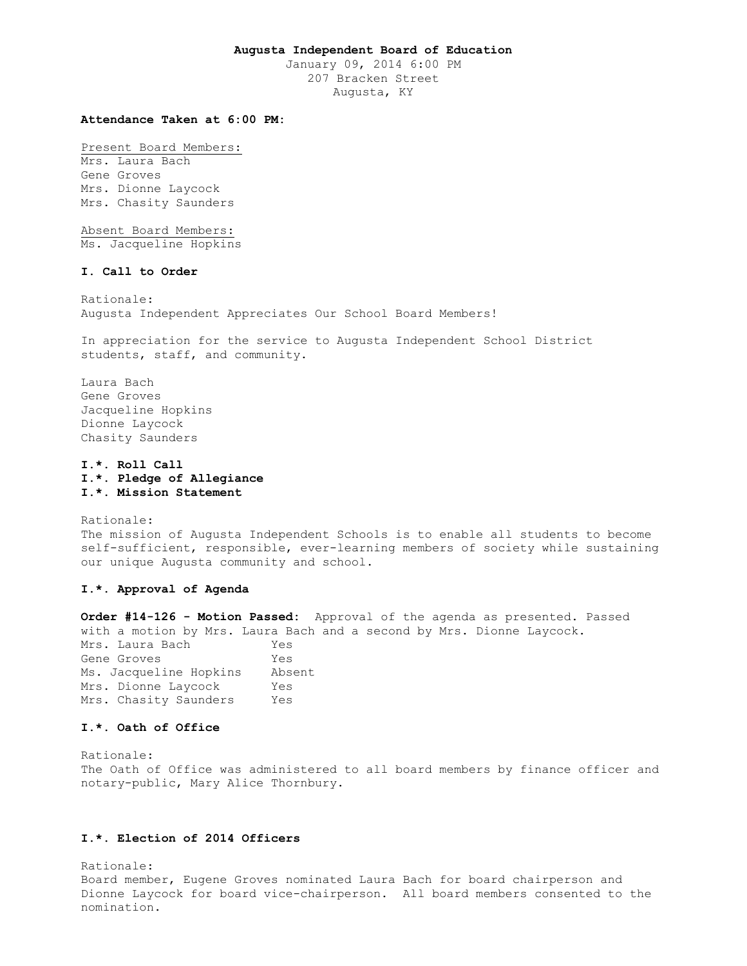### **Augusta Independent Board of Education**

January 09, 2014 6:00 PM 207 Bracken Street Augusta, KY

## **Attendance Taken at 6:00 PM:**

Present Board Members:

Mrs. Laura Bach Gene Groves Mrs. Dionne Laycock Mrs. Chasity Saunders

Absent Board Members: Ms. Jacqueline Hopkins

### **I. Call to Order**

Rationale: Augusta Independent Appreciates Our School Board Members!

In appreciation for the service to Augusta Independent School District students, staff, and community.

Laura Bach Gene Groves Jacqueline Hopkins Dionne Laycock Chasity Saunders

**I.\*. Roll Call I.\*. Pledge of Allegiance I.\*. Mission Statement** 

Rationale: The mission of Augusta Independent Schools is to enable all students to become self-sufficient, responsible, ever-learning members of society while sustaining our unique Augusta community and school.

## **I.\*. Approval of Agenda**

**Order #14-126 - Motion Passed:** Approval of the agenda as presented. Passed with a motion by Mrs. Laura Bach and a second by Mrs. Dionne Laycock. Mrs. Laura Bach Yes Gene Groves Tes Ms. Jacqueline Hopkins Absent Mrs. Dionne Laycock Yes Mrs. Chasity Saunders Yes

### **I.\*. Oath of Office**

Rationale: The Oath of Office was administered to all board members by finance officer and notary-public, Mary Alice Thornbury.

## **I.\*. Election of 2014 Officers**

Rationale: Board member, Eugene Groves nominated Laura Bach for board chairperson and Dionne Laycock for board vice-chairperson. All board members consented to the nomination.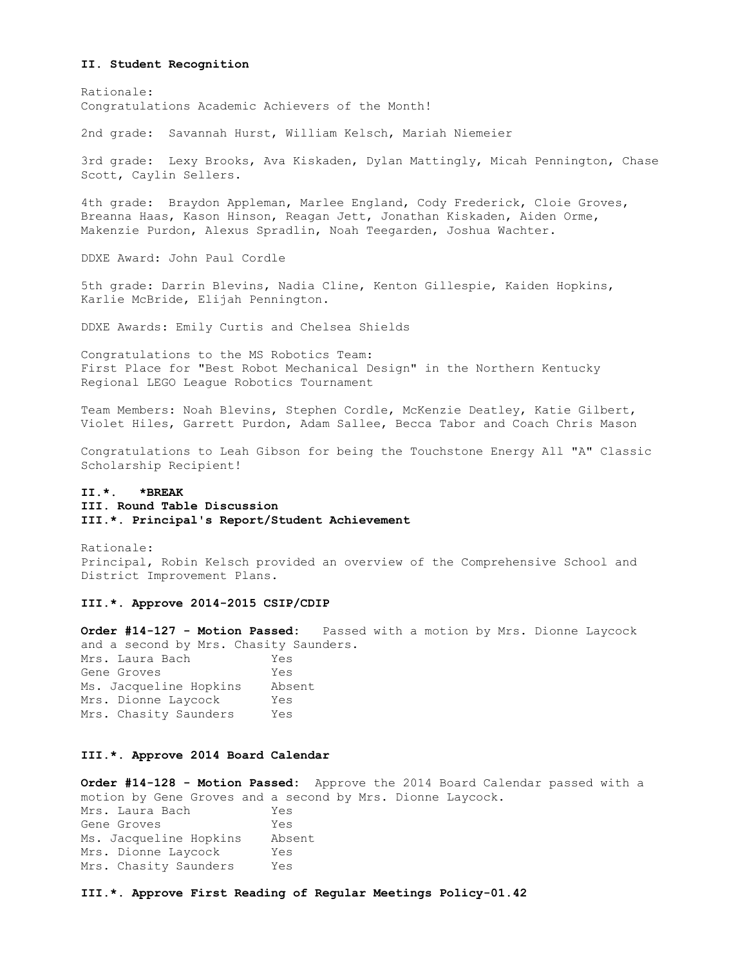#### **II. Student Recognition**

Rationale: Congratulations Academic Achievers of the Month!

2nd grade: Savannah Hurst, William Kelsch, Mariah Niemeier

3rd grade: Lexy Brooks, Ava Kiskaden, Dylan Mattingly, Micah Pennington, Chase Scott, Caylin Sellers.

4th grade: Braydon Appleman, Marlee England, Cody Frederick, Cloie Groves, Breanna Haas, Kason Hinson, Reagan Jett, Jonathan Kiskaden, Aiden Orme, Makenzie Purdon, Alexus Spradlin, Noah Teegarden, Joshua Wachter.

DDXE Award: John Paul Cordle

5th grade: Darrin Blevins, Nadia Cline, Kenton Gillespie, Kaiden Hopkins, Karlie McBride, Elijah Pennington.

DDXE Awards: Emily Curtis and Chelsea Shields

Congratulations to the MS Robotics Team: First Place for "Best Robot Mechanical Design" in the Northern Kentucky Regional LEGO League Robotics Tournament

Team Members: Noah Blevins, Stephen Cordle, McKenzie Deatley, Katie Gilbert, Violet Hiles, Garrett Purdon, Adam Sallee, Becca Tabor and Coach Chris Mason

Congratulations to Leah Gibson for being the Touchstone Energy All "A" Classic Scholarship Recipient!

# **II.\*. \*BREAK III. Round Table Discussion III.\*. Principal's Report/Student Achievement**

Rationale: Principal, Robin Kelsch provided an overview of the Comprehensive School and District Improvement Plans.

### **III.\*. Approve 2014-2015 CSIP/CDIP**

**Order #14-127 - Motion Passed:** Passed with a motion by Mrs. Dionne Laycock and a second by Mrs. Chasity Saunders.

Mrs. Laura Bach Yes Gene Groves Tes Ms. Jacqueline Hopkins Absent Mrs. Dionne Laycock Yes Mrs. Chasity Saunders Yes

## **III.\*. Approve 2014 Board Calendar**

**Order #14-128 - Motion Passed:** Approve the 2014 Board Calendar passed with a motion by Gene Groves and a second by Mrs. Dionne Laycock. Mrs. Laura Bach Yes Gene Groves Tes Ms. Jacqueline Hopkins Absent Mrs. Dionne Laycock Yes Mrs. Chasity Saunders Yes

**III.\*. Approve First Reading of Regular Meetings Policy-01.42**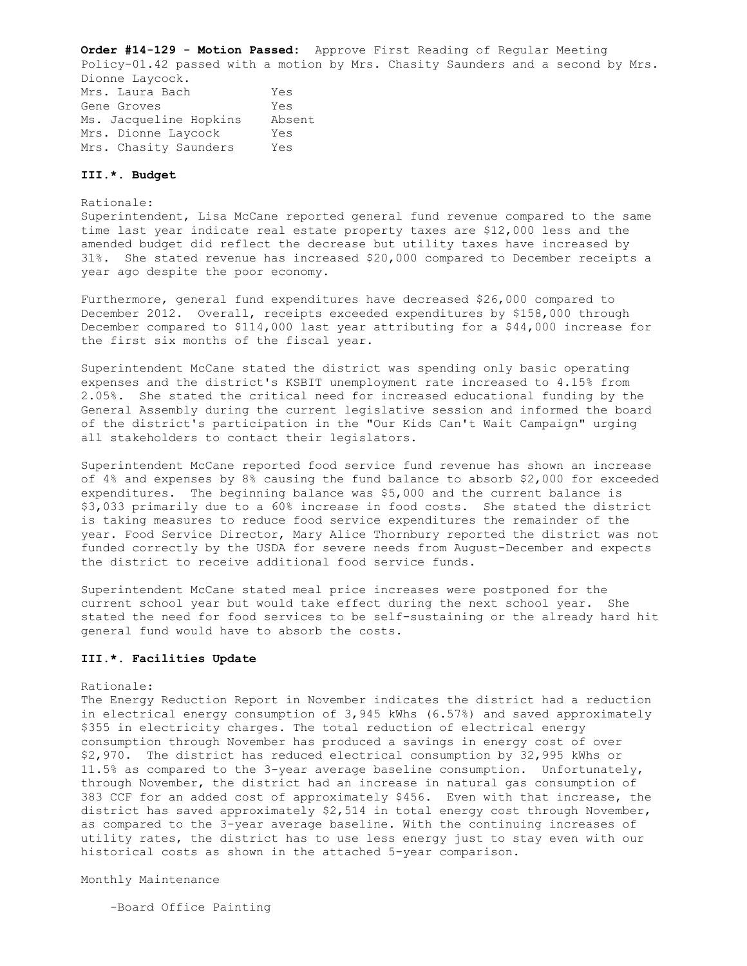**Order #14-129 - Motion Passed:** Approve First Reading of Regular Meeting Policy-01.42 passed with a motion by Mrs. Chasity Saunders and a second by Mrs. Dionne Laycock. Mrs. Laura Bach Yes Gene Groves Tes Ms. Jacqueline Hopkins Absent Mrs. Dionne Laycock Yes Mrs. Chasity Saunders Yes

## **III.\*. Budget**

Rationale:

Superintendent, Lisa McCane reported general fund revenue compared to the same time last year indicate real estate property taxes are \$12,000 less and the amended budget did reflect the decrease but utility taxes have increased by 31%. She stated revenue has increased \$20,000 compared to December receipts a year ago despite the poor economy.

Furthermore, general fund expenditures have decreased \$26,000 compared to December 2012. Overall, receipts exceeded expenditures by \$158,000 through December compared to \$114,000 last year attributing for a \$44,000 increase for the first six months of the fiscal year.

Superintendent McCane stated the district was spending only basic operating expenses and the district's KSBIT unemployment rate increased to 4.15% from 2.05%. She stated the critical need for increased educational funding by the General Assembly during the current legislative session and informed the board of the district's participation in the "Our Kids Can't Wait Campaign" urging all stakeholders to contact their legislators.

Superintendent McCane reported food service fund revenue has shown an increase of 4% and expenses by 8% causing the fund balance to absorb \$2,000 for exceeded expenditures. The beginning balance was \$5,000 and the current balance is \$3,033 primarily due to a 60% increase in food costs. She stated the district is taking measures to reduce food service expenditures the remainder of the year. Food Service Director, Mary Alice Thornbury reported the district was not funded correctly by the USDA for severe needs from August-December and expects the district to receive additional food service funds.

Superintendent McCane stated meal price increases were postponed for the current school year but would take effect during the next school year. She stated the need for food services to be self-sustaining or the already hard hit general fund would have to absorb the costs.

## **III.\*. Facilities Update**

### Rationale:

The Energy Reduction Report in November indicates the district had a reduction in electrical energy consumption of 3,945 kWhs (6.57%) and saved approximately \$355 in electricity charges. The total reduction of electrical energy consumption through November has produced a savings in energy cost of over \$2,970. The district has reduced electrical consumption by 32,995 kWhs or 11.5% as compared to the 3-year average baseline consumption. Unfortunately, through November, the district had an increase in natural gas consumption of 383 CCF for an added cost of approximately \$456. Even with that increase, the district has saved approximately \$2,514 in total energy cost through November, as compared to the 3-year average baseline. With the continuing increases of utility rates, the district has to use less energy just to stay even with our historical costs as shown in the attached 5-year comparison.

Monthly Maintenance

-Board Office Painting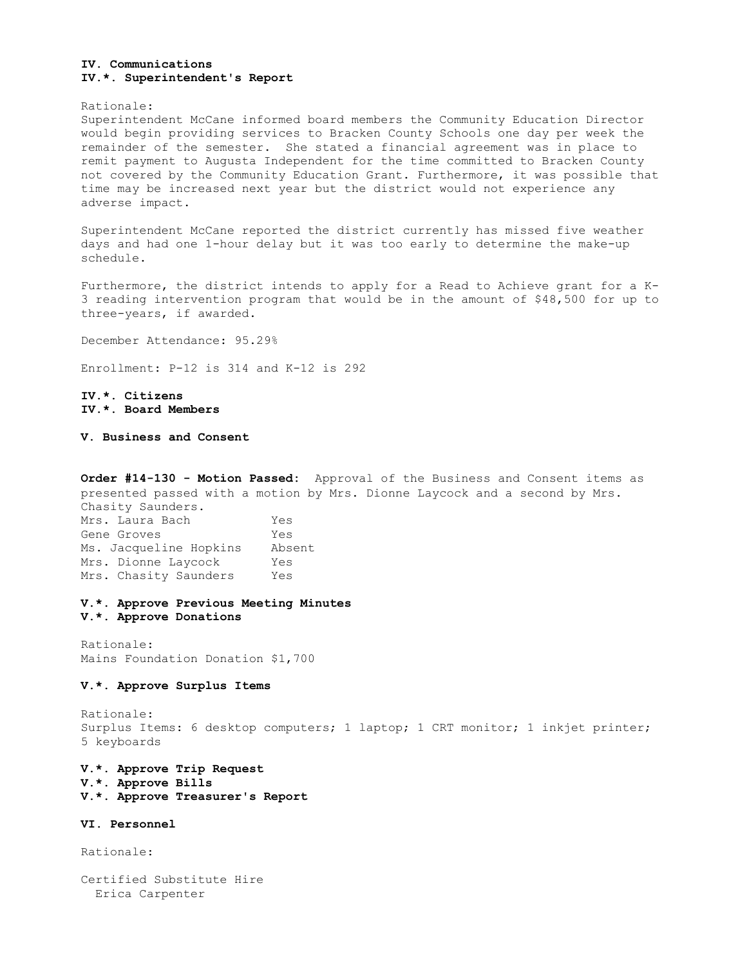## **IV. Communications IV.\*. Superintendent's Report**

#### Rationale:

Superintendent McCane informed board members the Community Education Director would begin providing services to Bracken County Schools one day per week the remainder of the semester. She stated a financial agreement was in place to remit payment to Augusta Independent for the time committed to Bracken County not covered by the Community Education Grant. Furthermore, it was possible that time may be increased next year but the district would not experience any adverse impact.

Superintendent McCane reported the district currently has missed five weather days and had one 1-hour delay but it was too early to determine the make-up schedule.

Furthermore, the district intends to apply for a Read to Achieve grant for a K-3 reading intervention program that would be in the amount of \$48,500 for up to three-years, if awarded.

December Attendance: 95.29%

Enrollment: P-12 is 314 and K-12 is 292

**IV.\*. Citizens IV.\*. Board Members** 

**V. Business and Consent** 

**Order #14-130 - Motion Passed:** Approval of the Business and Consent items as presented passed with a motion by Mrs. Dionne Laycock and a second by Mrs. Chasity Saunders. Mrs. Laura Bach Yes Gene Groves Tes Ms. Jacqueline Hopkins Absent Mrs. Dionne Laycock Yes Mrs. Chasity Saunders Yes

## **V.\*. Approve Previous Meeting Minutes V.\*. Approve Donations**

Rationale: Mains Foundation Donation \$1,700

## **V.\*. Approve Surplus Items**

Rationale: Surplus Items: 6 desktop computers; 1 laptop; 1 CRT monitor; 1 inkjet printer; 5 keyboards

**V.\*. Approve Trip Request V.\*. Approve Bills V.\*. Approve Treasurer's Report** 

**VI. Personnel** 

Rationale:

Certified Substitute Hire Erica Carpenter